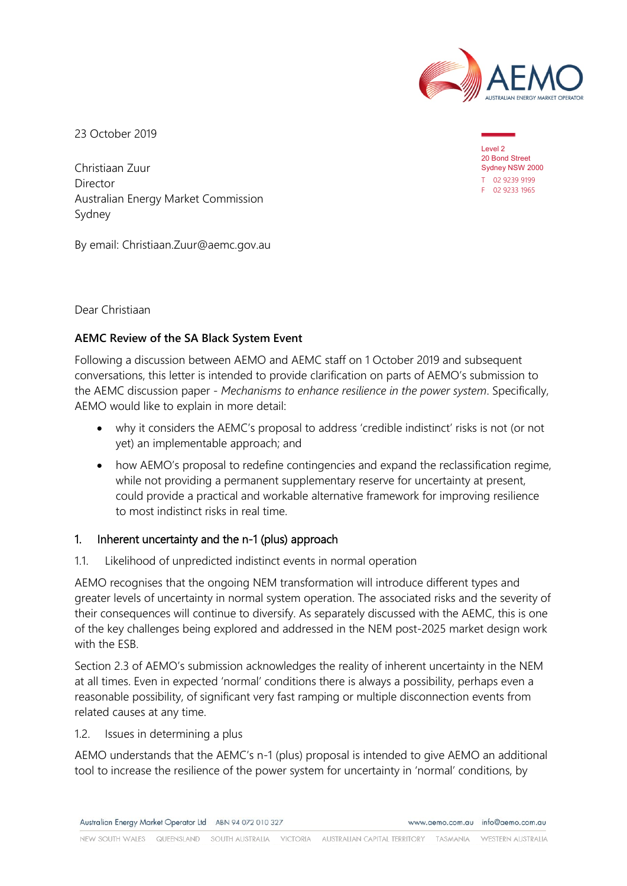

23 October 2019

Christiaan Zuur Director Australian Energy Market Commission Sydney

By email: Christiaan.Zuur@aemc.gov.au

Dear Christiaan

## **AEMC Review of the SA Black System Event**

Following a discussion between AEMO and AEMC staff on 1 October 2019 and subsequent conversations, this letter is intended to provide clarification on parts of AEMO's submission to the AEMC discussion paper - *Mechanisms to enhance resilience in the power system*. Specifically, AEMO would like to explain in more detail:

- why it considers the AEMC's proposal to address 'credible indistinct' risks is not (or not yet) an implementable approach; and
- how AEMO's proposal to redefine contingencies and expand the reclassification regime, while not providing a permanent supplementary reserve for uncertainty at present, could provide a practical and workable alternative framework for improving resilience to most indistinct risks in real time.

## 1. Inherent uncertainty and the n-1 (plus) approach

1.1. Likelihood of unpredicted indistinct events in normal operation

AEMO recognises that the ongoing NEM transformation will introduce different types and greater levels of uncertainty in normal system operation. The associated risks and the severity of their consequences will continue to diversify. As separately discussed with the AEMC, this is one of the key challenges being explored and addressed in the NEM post-2025 market design work with the ESB.

Section 2.3 of AEMO's submission acknowledges the reality of inherent uncertainty in the NEM at all times. Even in expected 'normal' conditions there is always a possibility, perhaps even a reasonable possibility, of significant very fast ramping or multiple disconnection events from related causes at any time.

1.2. Issues in determining a plus

AEMO understands that the AEMC's n-1 (plus) proposal is intended to give AEMO an additional tool to increase the resilience of the power system for uncertainty in 'normal' conditions, by

Level 2 20 Bond Street Sydney NSW 2000 T 02 9239 9199 F 02 9233 1965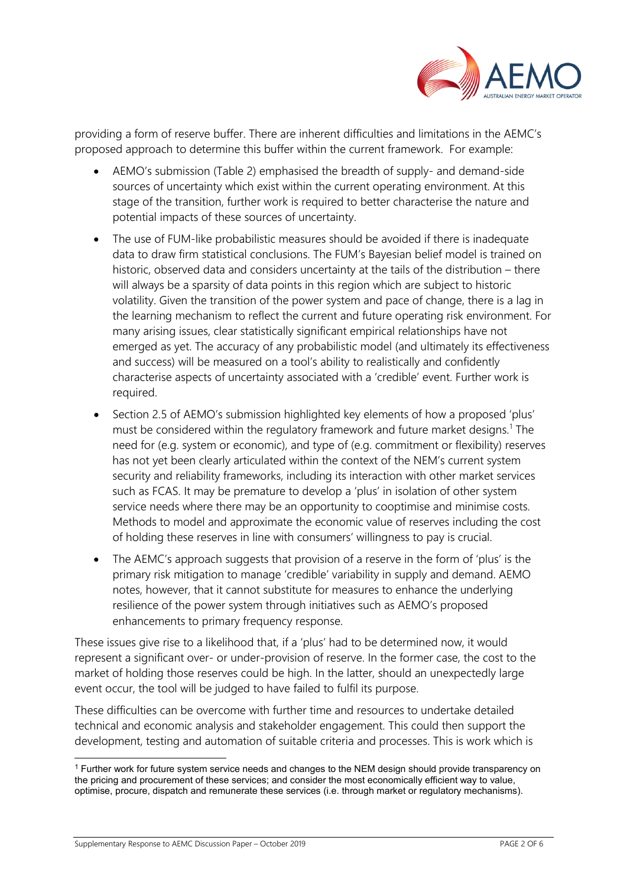

providing a form of reserve buffer. There are inherent difficulties and limitations in the AEMC's proposed approach to determine this buffer within the current framework. For example:

- AEMO's submission (Table 2) emphasised the breadth of supply- and demand-side sources of uncertainty which exist within the current operating environment. At this stage of the transition, further work is required to better characterise the nature and potential impacts of these sources of uncertainty.
- The use of FUM-like probabilistic measures should be avoided if there is inadequate data to draw firm statistical conclusions. The FUM's Bayesian belief model is trained on historic, observed data and considers uncertainty at the tails of the distribution – there will always be a sparsity of data points in this region which are subject to historic volatility. Given the transition of the power system and pace of change, there is a lag in the learning mechanism to reflect the current and future operating risk environment. For many arising issues, clear statistically significant empirical relationships have not emerged as yet. The accuracy of any probabilistic model (and ultimately its effectiveness and success) will be measured on a tool's ability to realistically and confidently characterise aspects of uncertainty associated with a 'credible' event. Further work is required.
- Section 2.5 of AEMO's submission highlighted key elements of how a proposed 'plus' must be considered within the regulatory framework and future market designs.<sup>[1](#page-1-0)</sup> The need for (e.g. system or economic), and type of (e.g. commitment or flexibility) reserves has not yet been clearly articulated within the context of the NEM's current system security and reliability frameworks, including its interaction with other market services such as FCAS. It may be premature to develop a 'plus' in isolation of other system service needs where there may be an opportunity to cooptimise and minimise costs. Methods to model and approximate the economic value of reserves including the cost of holding these reserves in line with consumers' willingness to pay is crucial.
- The AEMC's approach suggests that provision of a reserve in the form of 'plus' is the primary risk mitigation to manage 'credible' variability in supply and demand. AEMO notes, however, that it cannot substitute for measures to enhance the underlying resilience of the power system through initiatives such as AEMO's proposed enhancements to primary frequency response.

These issues give rise to a likelihood that, if a 'plus' had to be determined now, it would represent a significant over- or under-provision of reserve. In the former case, the cost to the market of holding those reserves could be high. In the latter, should an unexpectedly large event occur, the tool will be judged to have failed to fulfil its purpose.

These difficulties can be overcome with further time and resources to undertake detailed technical and economic analysis and stakeholder engagement. This could then support the development, testing and automation of suitable criteria and processes. This is work which is

Supplementary Response to AEMC Discussion Paper – October 2019 **PAGE 2 OF 6** PAGE 2 OF 6

<span id="page-1-0"></span><sup>&</sup>lt;sup>1</sup> Further work for future system service needs and changes to the NEM design should provide transparency on the pricing and procurement of these services; and consider the most economically efficient way to value, optimise, procure, dispatch and remunerate these services (i.e. through market or regulatory mechanisms).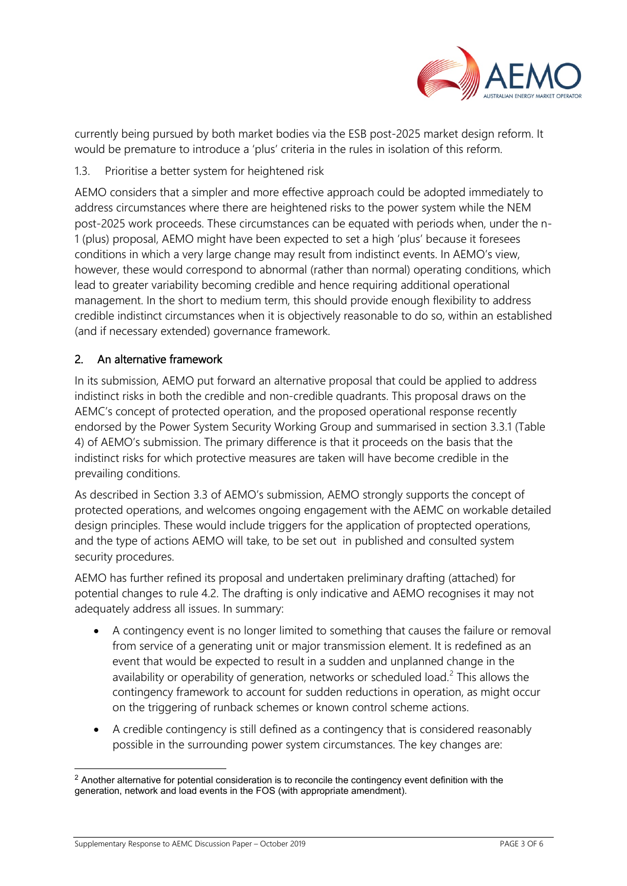

currently being pursued by both market bodies via the ESB post-2025 market design reform. It would be premature to introduce a 'plus' criteria in the rules in isolation of this reform.

1.3. Prioritise a better system for heightened risk

AEMO considers that a simpler and more effective approach could be adopted immediately to address circumstances where there are heightened risks to the power system while the NEM post-2025 work proceeds. These circumstances can be equated with periods when, under the n-1 (plus) proposal, AEMO might have been expected to set a high 'plus' because it foresees conditions in which a very large change may result from indistinct events. In AEMO's view, however, these would correspond to abnormal (rather than normal) operating conditions, which lead to greater variability becoming credible and hence requiring additional operational management. In the short to medium term, this should provide enough flexibility to address credible indistinct circumstances when it is objectively reasonable to do so, within an established (and if necessary extended) governance framework.

## 2. An alternative framework

In its submission, AEMO put forward an alternative proposal that could be applied to address indistinct risks in both the credible and non-credible quadrants. This proposal draws on the AEMC's concept of protected operation, and the proposed operational response recently endorsed by the Power System Security Working Group and summarised in section 3.3.1 (Table 4) of AEMO's submission. The primary difference is that it proceeds on the basis that the indistinct risks for which protective measures are taken will have become credible in the prevailing conditions.

As described in Section 3.3 of AEMO's submission, AEMO strongly supports the concept of protected operations, and welcomes ongoing engagement with the AEMC on workable detailed design principles. These would include triggers for the application of proptected operations, and the type of actions AEMO will take, to be set out in published and consulted system security procedures.

AEMO has further refined its proposal and undertaken preliminary drafting (attached) for potential changes to rule 4.2. The drafting is only indicative and AEMO recognises it may not adequately address all issues. In summary:

- A contingency event is no longer limited to something that causes the failure or removal from service of a generating unit or major transmission element. It is redefined as an event that would be expected to result in a sudden and unplanned change in the availability or operability of generation, networks or scheduled load. [2](#page-2-0) This allows the contingency framework to account for sudden reductions in operation, as might occur on the triggering of runback schemes or known control scheme actions.
- A credible contingency is still defined as a contingency that is considered reasonably possible in the surrounding power system circumstances. The key changes are:

<span id="page-2-0"></span><sup>&</sup>lt;sup>2</sup> Another alternative for potential consideration is to reconcile the contingency event definition with the generation, network and load events in the FOS (with appropriate amendment).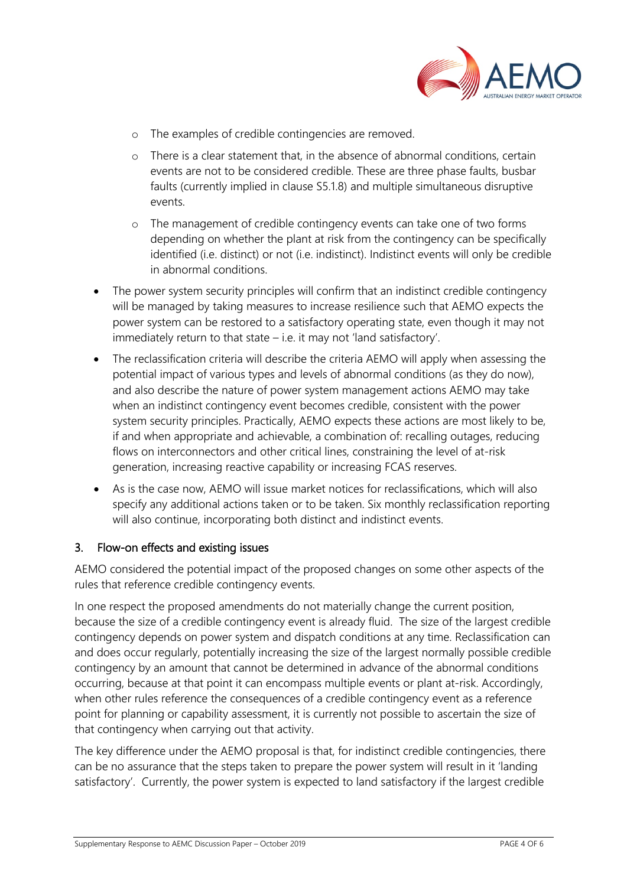

- o The examples of credible contingencies are removed.
- o There is a clear statement that, in the absence of abnormal conditions, certain events are not to be considered credible. These are three phase faults, busbar faults (currently implied in clause S5.1.8) and multiple simultaneous disruptive events.
- o The management of credible contingency events can take one of two forms depending on whether the plant at risk from the contingency can be specifically identified (i.e. distinct) or not (i.e. indistinct). Indistinct events will only be credible in abnormal conditions.
- The power system security principles will confirm that an indistinct credible contingency will be managed by taking measures to increase resilience such that AEMO expects the power system can be restored to a satisfactory operating state, even though it may not immediately return to that state – i.e. it may not 'land satisfactory'.
- The reclassification criteria will describe the criteria AEMO will apply when assessing the potential impact of various types and levels of abnormal conditions (as they do now), and also describe the nature of power system management actions AEMO may take when an indistinct contingency event becomes credible, consistent with the power system security principles. Practically, AEMO expects these actions are most likely to be, if and when appropriate and achievable, a combination of: recalling outages, reducing flows on interconnectors and other critical lines, constraining the level of at-risk generation, increasing reactive capability or increasing FCAS reserves.
- As is the case now, AEMO will issue market notices for reclassifications, which will also specify any additional actions taken or to be taken. Six monthly reclassification reporting will also continue, incorporating both distinct and indistinct events.

## 3. Flow-on effects and existing issues

AEMO considered the potential impact of the proposed changes on some other aspects of the rules that reference credible contingency events.

In one respect the proposed amendments do not materially change the current position, because the size of a credible contingency event is already fluid. The size of the largest credible contingency depends on power system and dispatch conditions at any time. Reclassification can and does occur regularly, potentially increasing the size of the largest normally possible credible contingency by an amount that cannot be determined in advance of the abnormal conditions occurring, because at that point it can encompass multiple events or plant at-risk. Accordingly, when other rules reference the consequences of a credible contingency event as a reference point for planning or capability assessment, it is currently not possible to ascertain the size of that contingency when carrying out that activity.

The key difference under the AEMO proposal is that, for indistinct credible contingencies, there can be no assurance that the steps taken to prepare the power system will result in it 'landing satisfactory'. Currently, the power system is expected to land satisfactory if the largest credible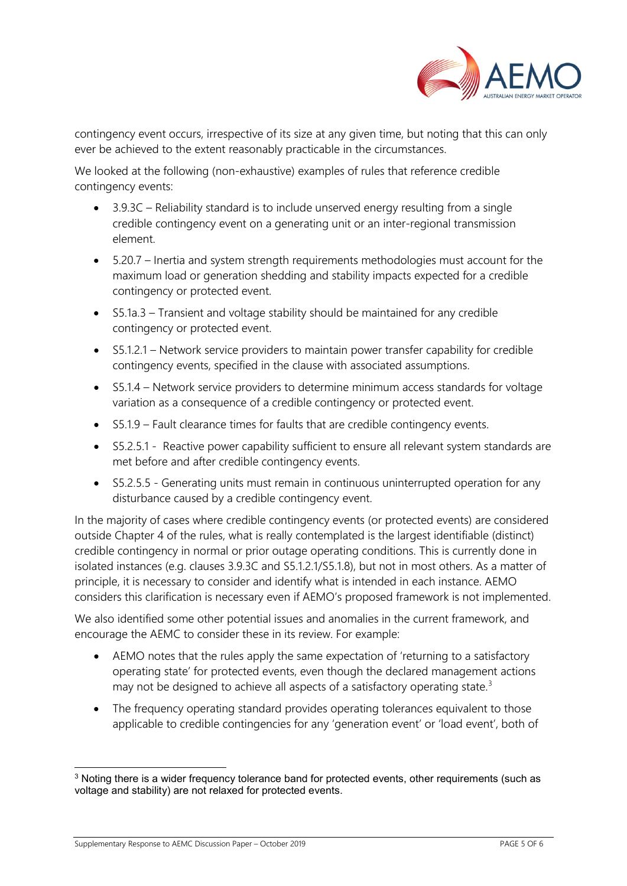

contingency event occurs, irrespective of its size at any given time, but noting that this can only ever be achieved to the extent reasonably practicable in the circumstances.

We looked at the following (non-exhaustive) examples of rules that reference credible contingency events:

- 3.9.3C Reliability standard is to include unserved energy resulting from a single credible contingency event on a generating unit or an inter-regional transmission element.
- 5.20.7 Inertia and system strength requirements methodologies must account for the maximum load or generation shedding and stability impacts expected for a credible contingency or protected event.
- S5.1a.3 Transient and voltage stability should be maintained for any credible contingency or protected event.
- S5.1.2.1 Network service providers to maintain power transfer capability for credible contingency events, specified in the clause with associated assumptions.
- S5.1.4 Network service providers to determine minimum access standards for voltage variation as a consequence of a credible contingency or protected event.
- S5.1.9 Fault clearance times for faults that are credible contingency events.
- S5.2.5.1 Reactive power capability sufficient to ensure all relevant system standards are met before and after credible contingency events.
- S5.2.5.5 Generating units must remain in continuous uninterrupted operation for any disturbance caused by a credible contingency event.

In the majority of cases where credible contingency events (or protected events) are considered outside Chapter 4 of the rules, what is really contemplated is the largest identifiable (distinct) credible contingency in normal or prior outage operating conditions. This is currently done in isolated instances (e.g. clauses 3.9.3C and S5.1.2.1/S5.1.8), but not in most others. As a matter of principle, it is necessary to consider and identify what is intended in each instance. AEMO considers this clarification is necessary even if AEMO's proposed framework is not implemented.

We also identified some other potential issues and anomalies in the current framework, and encourage the AEMC to consider these in its review. For example:

- AEMO notes that the rules apply the same expectation of 'returning to a satisfactory operating state' for protected events, even though the declared management actions may not be designed to achieve all aspects of a satisfactory operating state.<sup>[3](#page-4-0)</sup>
- The frequency operating standard provides operating tolerances equivalent to those applicable to credible contingencies for any 'generation event' or 'load event', both of

<span id="page-4-0"></span><sup>&</sup>lt;sup>3</sup> Noting there is a wider frequency tolerance band for protected events, other requirements (such as voltage and stability) are not relaxed for protected events.